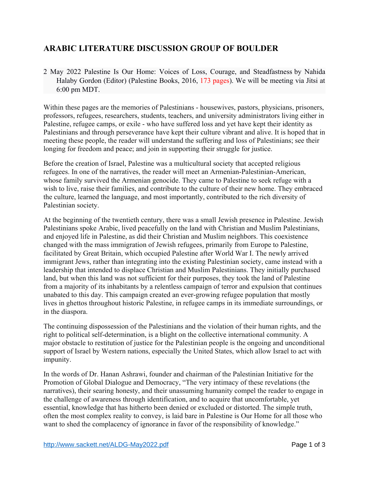## **ARABIC LITERATURE DISCUSSION GROUP OF BOULDER**

2 May 2022 Palestine Is Our Home: Voices of Loss, Courage, and Steadfastness by Nahida Halaby Gordon (Editor) (Palestine Books, 2016, 173 pages). We will be meeting via Jitsi at 6:00 pm MDT.

Within these pages are the memories of Palestinians - housewives, pastors, physicians, prisoners, professors, refugees, researchers, students, teachers, and university administrators living either in Palestine, refugee camps, or exile - who have suffered loss and yet have kept their identity as Palestinians and through perseverance have kept their culture vibrant and alive. It is hoped that in meeting these people, the reader will understand the suffering and loss of Palestinians; see their longing for freedom and peace; and join in supporting their struggle for justice.

Before the creation of Israel, Palestine was a multicultural society that accepted religious refugees. In one of the narratives, the reader will meet an Armenian-Palestinian-American, whose family survived the Armenian genocide. They came to Palestine to seek refuge with a wish to live, raise their families, and contribute to the culture of their new home. They embraced the culture, learned the language, and most importantly, contributed to the rich diversity of Palestinian society.

At the beginning of the twentieth century, there was a small Jewish presence in Palestine. Jewish Palestinians spoke Arabic, lived peacefully on the land with Christian and Muslim Palestinians, and enjoyed life in Palestine, as did their Christian and Muslim neighbors. This coexistence changed with the mass immigration of Jewish refugees, primarily from Europe to Palestine, facilitated by Great Britain, which occupied Palestine after World War I. The newly arrived immigrant Jews, rather than integrating into the existing Palestinian society, came instead with a leadership that intended to displace Christian and Muslim Palestinians. They initially purchased land, but when this land was not sufficient for their purposes, they took the land of Palestine from a majority of its inhabitants by a relentless campaign of terror and expulsion that continues unabated to this day. This campaign created an ever-growing refugee population that mostly lives in ghettos throughout historic Palestine, in refugee camps in its immediate surroundings, or in the diaspora.

The continuing dispossession of the Palestinians and the violation of their human rights, and the right to political self-determination, is a blight on the collective international community. A major obstacle to restitution of justice for the Palestinian people is the ongoing and unconditional support of Israel by Western nations, especially the United States, which allow Israel to act with impunity.

In the words of Dr. Hanan Ashrawi, founder and chairman of the Palestinian Initiative for the Promotion of Global Dialogue and Democracy, "The very intimacy of these revelations (the narratives), their searing honesty, and their unassuming humanity compel the reader to engage in the challenge of awareness through identification, and to acquire that uncomfortable, yet essential, knowledge that has hitherto been denied or excluded or distorted. The simple truth, often the most complex reality to convey, is laid bare in Palestine is Our Home for all those who want to shed the complacency of ignorance in favor of the responsibility of knowledge."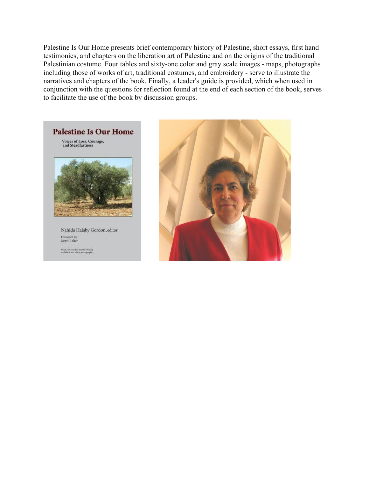Palestine Is Our Home presents brief contemporary history of Palestine, short essays, first hand testimonies, and chapters on the liberation art of Palestine and on the origins of the traditional Palestinian costume. Four tables and sixty-one color and gray scale images - maps, photographs including those of works of art, traditional costumes, and embroidery - serve to illustrate the narratives and chapters of the book. Finally, a leader's guide is provided, which when used in conjunction with the questions for reflection found at the end of each section of the book, serves to facilitate the use of the book by discussion groups.



Nahida Halaby Gordon, editor Foreword by<br>Mitri Raheb

With a Discussion Leader's Guide<br>and black and white photographs